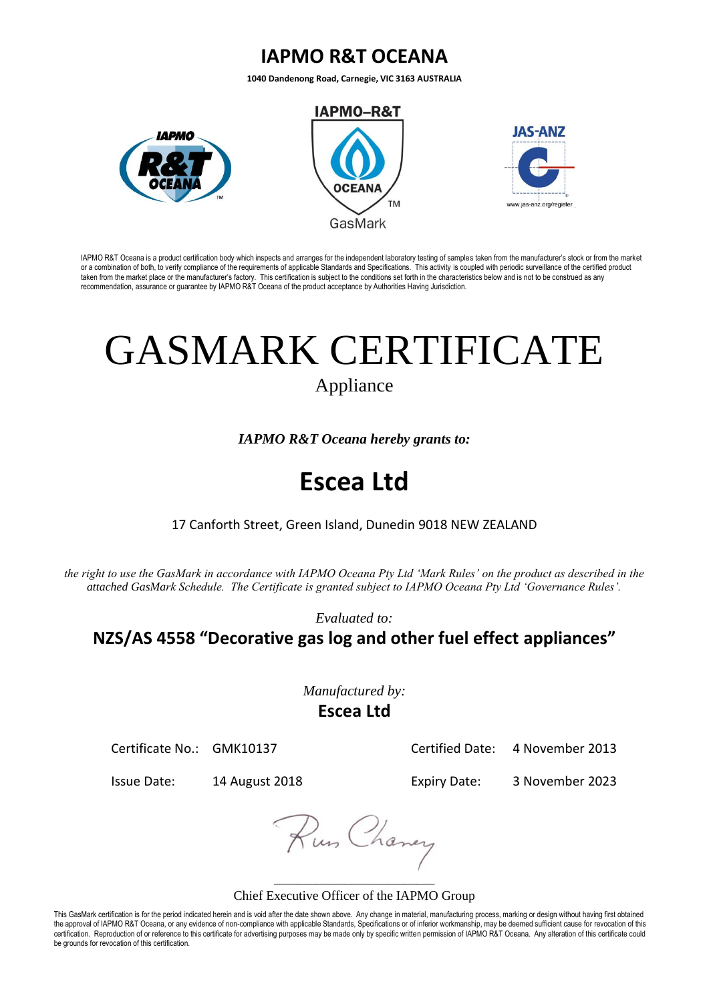## **IAPMO R&T OCEANA**

**1040 Dandenong Road, Carnegie, VIC 3163 AUSTRALIA**



IAPMO R&T Oceana is a product certification body which inspects and arranges for the independent laboratory testing of samples taken from the manufacturer's stock or from the market or a combination of both, to verify compliance of the requirements of applicable Standards and Specifications. This activity is coupled with periodic surveillance of the certified product taken from the market place or the manufacturer's factory. This certification is subject to the conditions set forth in the characteristics below and is not to be construed as any recommendation, assurance or guarantee by IAPMO R&T Oceana of the product acceptance by Authorities Having Jurisdiction.

# GASMARK CERTIFICATE

Appliance

*IAPMO R&T Oceana hereby grants to:*

# **Escea Ltd**

### 17 Canforth Street, Green Island, Dunedin 9018 NEW ZEALAND

*the right to use the GasMark in accordance with IAPMO Oceana Pty Ltd 'Mark Rules' on the product as described in the attached GasMark Schedule. The Certificate is granted subject to IAPMO Oceana Pty Ltd 'Governance Rules'.* 

*Evaluated to:*

**NZS/AS 4558 "Decorative gas log and other fuel effect appliances"**

*Manufactured by:* **Escea Ltd**

Certificate No.: GMK10137 Certified Date: 4 November 2013

Issue Date: 14 August 2018 Expiry Date: 3 November 2023

Rus Chaney

#### \_\_\_\_\_\_\_\_\_\_\_\_\_\_\_\_\_\_\_\_\_\_\_\_\_\_\_ Chief Executive Officer of the IAPMO Group

This GasMark certification is for the period indicated herein and is void after the date shown above. Any change in material, manufacturing process, marking or design without having first obtained the approval of IAPMO R&T Oceana, or any evidence of non-compliance with applicable Standards, Specifications or of inferior workmanship, may be deemed sufficient cause for revocation of this certification. Reproduction of or reference to this certificate for advertising purposes may be made only by specific written permission of IAPMO R&T Oceana. Any alteration of this certificate could be grounds for revocation of this certification.